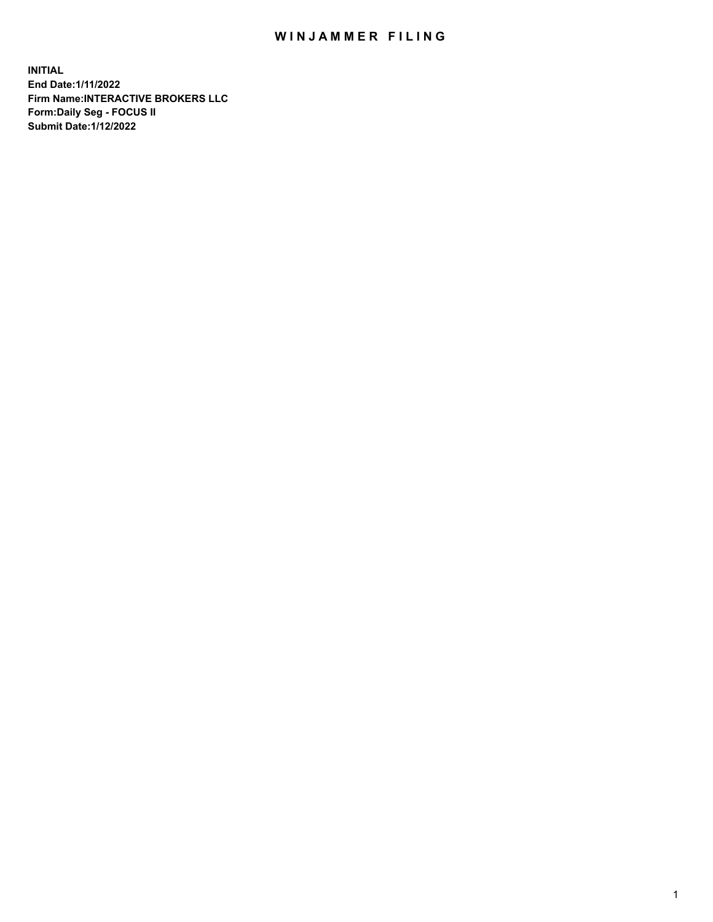## WIN JAMMER FILING

**INITIAL End Date:1/11/2022 Firm Name:INTERACTIVE BROKERS LLC Form:Daily Seg - FOCUS II Submit Date:1/12/2022**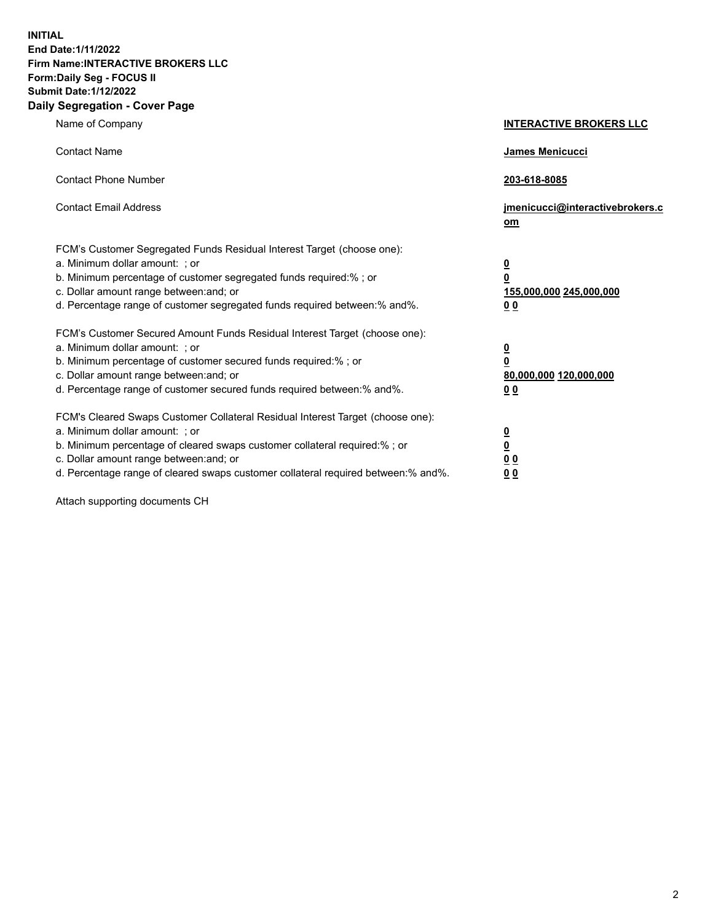**INITIAL End Date:1/11/2022 Firm Name:INTERACTIVE BROKERS LLC Form:Daily Seg - FOCUS II Submit Date:1/12/2022 Daily Segregation - Cover Page**

| Name of Company                                                                                                                                                                                                                                                                                                                | <b>INTERACTIVE BROKERS LLC</b>                                                                  |  |
|--------------------------------------------------------------------------------------------------------------------------------------------------------------------------------------------------------------------------------------------------------------------------------------------------------------------------------|-------------------------------------------------------------------------------------------------|--|
| <b>Contact Name</b>                                                                                                                                                                                                                                                                                                            | James Menicucci                                                                                 |  |
| <b>Contact Phone Number</b>                                                                                                                                                                                                                                                                                                    | 203-618-8085                                                                                    |  |
| <b>Contact Email Address</b>                                                                                                                                                                                                                                                                                                   | jmenicucci@interactivebrokers.c<br><u>om</u>                                                    |  |
| FCM's Customer Segregated Funds Residual Interest Target (choose one):<br>a. Minimum dollar amount: ; or<br>b. Minimum percentage of customer segregated funds required:% ; or<br>c. Dollar amount range between: and; or<br>d. Percentage range of customer segregated funds required between:% and%.                         | $\overline{\mathbf{0}}$<br>$\overline{\mathbf{0}}$<br>155,000,000 245,000,000<br>0 <sub>0</sub> |  |
| FCM's Customer Secured Amount Funds Residual Interest Target (choose one):<br>a. Minimum dollar amount: ; or<br>b. Minimum percentage of customer secured funds required:% ; or<br>c. Dollar amount range between: and; or<br>d. Percentage range of customer secured funds required between:% and%.                           | $\overline{\mathbf{0}}$<br>$\overline{\mathbf{0}}$<br>80,000,000 120,000,000<br>0 <sub>0</sub>  |  |
| FCM's Cleared Swaps Customer Collateral Residual Interest Target (choose one):<br>a. Minimum dollar amount: ; or<br>b. Minimum percentage of cleared swaps customer collateral required:% ; or<br>c. Dollar amount range between: and; or<br>d. Percentage range of cleared swaps customer collateral required between:% and%. | $\overline{\mathbf{0}}$<br>$\overline{\mathbf{0}}$<br>0 <sub>0</sub><br>0 <sub>0</sub>          |  |

Attach supporting documents CH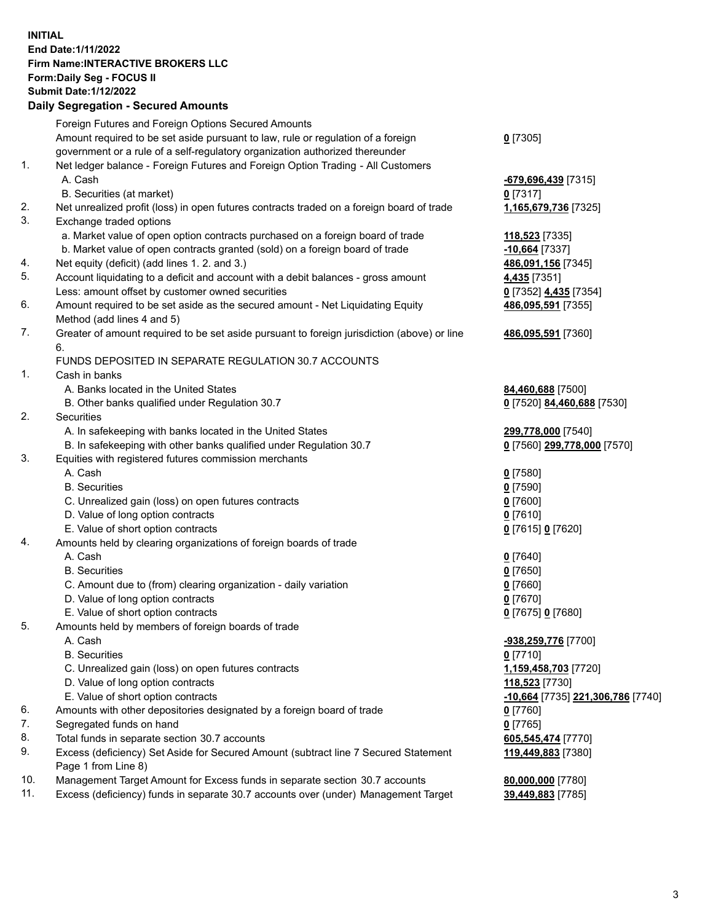**INITIAL End Date:1/11/2022 Firm Name:INTERACTIVE BROKERS LLC Form:Daily Seg - FOCUS II Submit Date:1/12/2022 Daily Segregation - Secured Amounts**

## Foreign Futures and Foreign Options Secured Amounts Amount required to be set aside pursuant to law, rule or regulation of a foreign government or a rule of a self-regulatory organization authorized thereunder **0** [7305] 1. Net ledger balance - Foreign Futures and Foreign Option Trading - All Customers A. Cash **-679,696,439** [7315] B. Securities (at market) **0** [7317] 2. Net unrealized profit (loss) in open futures contracts traded on a foreign board of trade **1,165,679,736** [7325] 3. Exchange traded options a. Market value of open option contracts purchased on a foreign board of trade **118,523** [7335] b. Market value of open contracts granted (sold) on a foreign board of trade **-10,664** [7337] 4. Net equity (deficit) (add lines 1. 2. and 3.) **486,091,156** [7345] 5. Account liquidating to a deficit and account with a debit balances - gross amount **4,435** [7351] Less: amount offset by customer owned securities **0** [7352] **4,435** [7354] 6. Amount required to be set aside as the secured amount - Net Liquidating Equity Method (add lines 4 and 5) **486,095,591** [7355] 7. Greater of amount required to be set aside pursuant to foreign jurisdiction (above) or line 6. **486,095,591** [7360] FUNDS DEPOSITED IN SEPARATE REGULATION 30.7 ACCOUNTS 1. Cash in banks A. Banks located in the United States **84,460,688** [7500] B. Other banks qualified under Regulation 30.7 **0** [7520] **84,460,688** [7530] 2. Securities A. In safekeeping with banks located in the United States **299,778,000** [7540] B. In safekeeping with other banks qualified under Regulation 30.7 **0** [7560] **299,778,000** [7570] 3. Equities with registered futures commission merchants A. Cash **0** [7580] B. Securities **0** [7590] C. Unrealized gain (loss) on open futures contracts **0** [7600] D. Value of long option contracts **0** [7610] E. Value of short option contracts **0** [7615] **0** [7620] 4. Amounts held by clearing organizations of foreign boards of trade A. Cash **0** [7640] B. Securities **0** [7650] C. Amount due to (from) clearing organization - daily variation **0** [7660] D. Value of long option contracts **0** [7670] E. Value of short option contracts **0** [7675] **0** [7680] 5. Amounts held by members of foreign boards of trade A. Cash **-938,259,776** [7700] B. Securities **0** [7710] C. Unrealized gain (loss) on open futures contracts **1,159,458,703** [7720] D. Value of long option contracts **118,523** [7730] E. Value of short option contracts **-10,664** [7735] **221,306,786** [7740] 6. Amounts with other depositories designated by a foreign board of trade **0** [7760] 7. Segregated funds on hand **0** [7765] 8. Total funds in separate section 30.7 accounts **605,545,474** [7770] 9. Excess (deficiency) Set Aside for Secured Amount (subtract line 7 Secured Statement Page 1 from Line 8) **119,449,883** [7380] 10. Management Target Amount for Excess funds in separate section 30.7 accounts **80,000,000** [7780] 11. Excess (deficiency) funds in separate 30.7 accounts over (under) Management Target **39,449,883** [7785]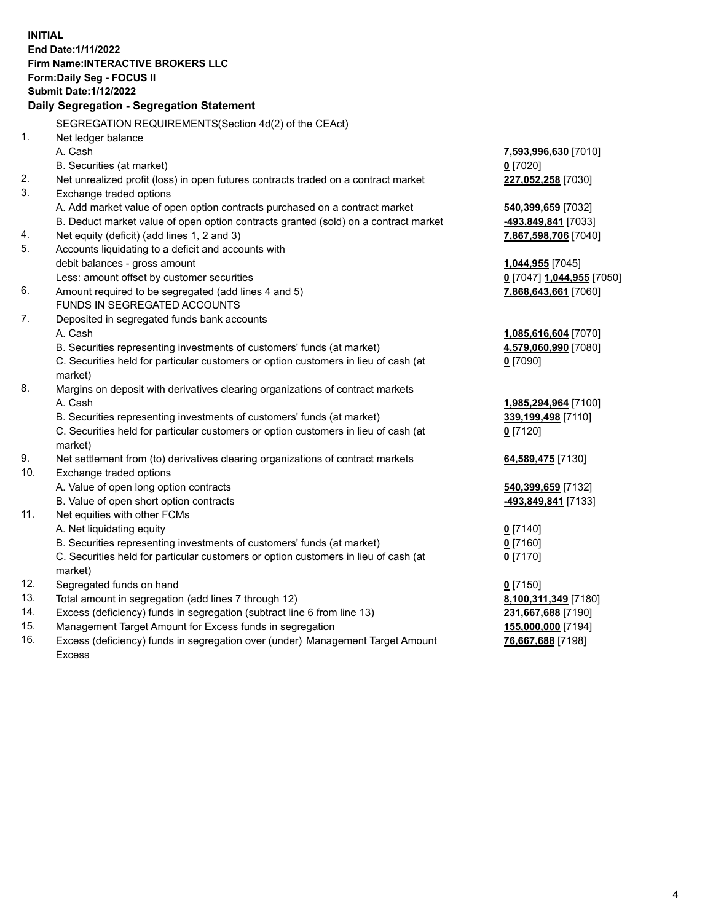**INITIAL End Date:1/11/2022 Firm Name:INTERACTIVE BROKERS LLC Form:Daily Seg - FOCUS II Submit Date:1/12/2022 Daily Segregation - Segregation Statement** SEGREGATION REQUIREMENTS(Section 4d(2) of the CEAct) 1. Net ledger balance A. Cash **7,593,996,630** [7010] B. Securities (at market) **0** [7020] 2. Net unrealized profit (loss) in open futures contracts traded on a contract market **227,052,258** [7030] 3. Exchange traded options A. Add market value of open option contracts purchased on a contract market **540,399,659** [7032] B. Deduct market value of open option contracts granted (sold) on a contract market **-493,849,841** [7033] 4. Net equity (deficit) (add lines 1, 2 and 3) **7,867,598,706** [7040] 5. Accounts liquidating to a deficit and accounts with debit balances - gross amount **1,044,955** [7045] Less: amount offset by customer securities **0** [7047] **1,044,955** [7050] 6. Amount required to be segregated (add lines 4 and 5) **7,868,643,661** [7060] FUNDS IN SEGREGATED ACCOUNTS 7. Deposited in segregated funds bank accounts A. Cash **1,085,616,604** [7070] B. Securities representing investments of customers' funds (at market) **4,579,060,990** [7080] C. Securities held for particular customers or option customers in lieu of cash (at market) **0** [7090] 8. Margins on deposit with derivatives clearing organizations of contract markets A. Cash **1,985,294,964** [7100] B. Securities representing investments of customers' funds (at market) **339,199,498** [7110] C. Securities held for particular customers or option customers in lieu of cash (at market) **0** [7120] 9. Net settlement from (to) derivatives clearing organizations of contract markets **64,589,475** [7130] 10. Exchange traded options A. Value of open long option contracts **540,399,659** [7132] B. Value of open short option contracts **-493,849,841** [7133] 11. Net equities with other FCMs A. Net liquidating equity **0** [7140] B. Securities representing investments of customers' funds (at market) **0** [7160] C. Securities held for particular customers or option customers in lieu of cash (at market) **0** [7170] 12. Segregated funds on hand **0** [7150] 13. Total amount in segregation (add lines 7 through 12) **8,100,311,349** [7180] 14. Excess (deficiency) funds in segregation (subtract line 6 from line 13) **231,667,688** [7190] 15. Management Target Amount for Excess funds in segregation **155,000,000** [7194]

16. Excess (deficiency) funds in segregation over (under) Management Target Amount Excess

**76,667,688** [7198]